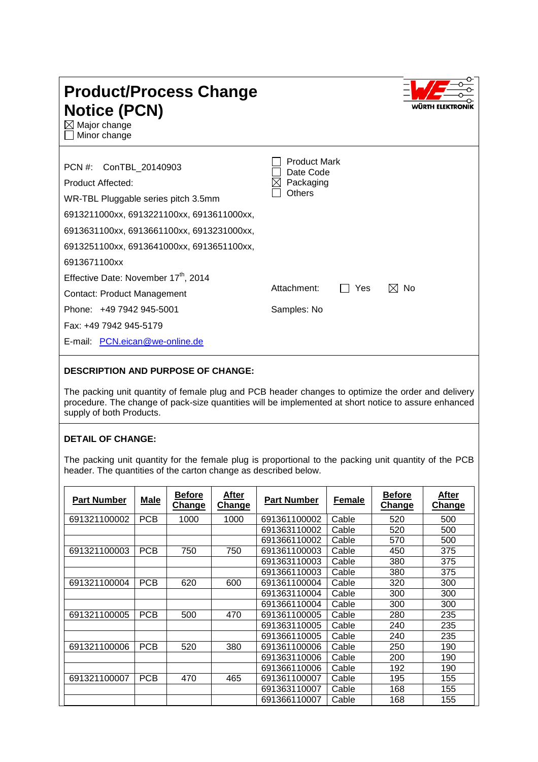| <b>Product/Process Change</b><br><b>Notice (PCN)</b><br>$\boxtimes$ Major change<br>Minor change                                                                                                                                                 |                                                         | WÛRTH ELEKTRO |
|--------------------------------------------------------------------------------------------------------------------------------------------------------------------------------------------------------------------------------------------------|---------------------------------------------------------|---------------|
| ConTBL_20140903<br>$PCN \#$ :<br>Product Affected:<br>WR-TBL Pluggable series pitch 3.5mm<br>6913211000xx, 6913221100xx, 6913611000xx,<br>6913631100xx, 6913661100xx, 6913231000xx,<br>6913251100xx, 6913641000xx, 6913651100xx,<br>6913671100xx | <b>Product Mark</b><br>Date Code<br>Packaging<br>Others |               |
| Effective Date: November 17 <sup>th</sup> , 2014<br>Contact: Product Management<br>Phone: +49 7942 945-5001<br>Fax: +49 7942 945-5179<br>E-mail: PCN.eican@we-online.de                                                                          | Attachment:<br>Yes<br>Samples: No                       | M<br>No       |

## **DESCRIPTION AND PURPOSE OF CHANGE:**

The packing unit quantity of female plug and PCB header changes to optimize the order and delivery procedure. The change of pack-size quantities will be implemented at short notice to assure enhanced supply of both Products.

## **DETAIL OF CHANGE:**

The packing unit quantity for the female plug is proportional to the packing unit quantity of the PCB header. The quantities of the carton change as described below.

| <b>Part Number</b> | Male       | <b>Before</b><br><b>Change</b> | After<br><b>Change</b> | Part Number  | <b>Female</b> | <b>Before</b><br><b>Change</b> | After<br><b>Change</b> |
|--------------------|------------|--------------------------------|------------------------|--------------|---------------|--------------------------------|------------------------|
| 691321100002       | <b>PCB</b> | 1000                           | 1000                   | 691361100002 | Cable         | 520                            | 500                    |
|                    |            |                                |                        | 691363110002 | Cable         | 520                            | 500                    |
|                    |            |                                |                        | 691366110002 | Cable         | 570                            | 500                    |
| 691321100003       | <b>PCB</b> | 750                            | 750                    | 691361100003 | Cable         | 450                            | 375                    |
|                    |            |                                |                        | 691363110003 | Cable         | 380                            | 375                    |
|                    |            |                                |                        | 691366110003 | Cable         | 380                            | 375                    |
| 691321100004       | <b>PCB</b> | 620                            | 600                    | 691361100004 | Cable         | 320                            | 300                    |
|                    |            |                                |                        | 691363110004 | Cable         | 300                            | 300                    |
|                    |            |                                |                        | 691366110004 | Cable         | 300                            | 300                    |
| 691321100005       | <b>PCB</b> | 500                            | 470                    | 691361100005 | Cable         | 280                            | 235                    |
|                    |            |                                |                        | 691363110005 | Cable         | 240                            | 235                    |
|                    |            |                                |                        | 691366110005 | Cable         | 240                            | 235                    |
| 691321100006       | <b>PCB</b> | 520                            | 380                    | 691361100006 | Cable         | 250                            | 190                    |
|                    |            |                                |                        | 691363110006 | Cable         | 200                            | 190                    |
|                    |            |                                |                        | 691366110006 | Cable         | 192                            | 190                    |
| 691321100007       | <b>PCB</b> | 470                            | 465                    | 691361100007 | Cable         | 195                            | 155                    |
|                    |            |                                |                        | 691363110007 | Cable         | 168                            | 155                    |
|                    |            |                                |                        | 691366110007 | Cable         | 168                            | 155                    |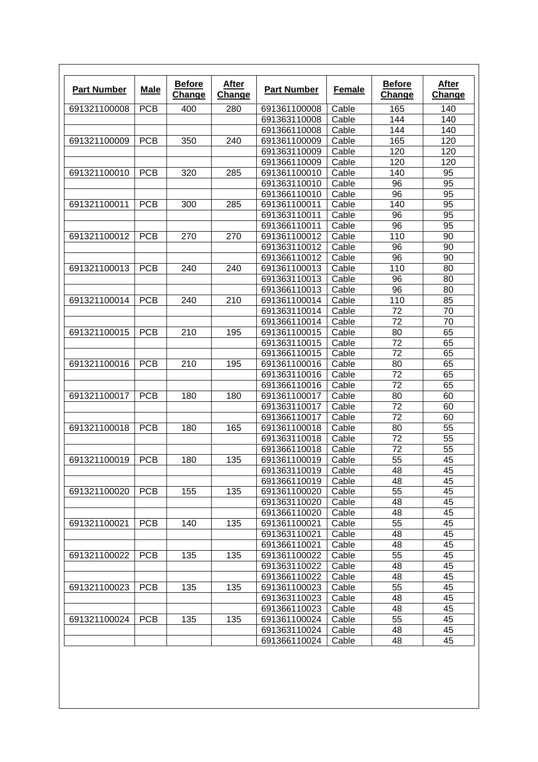| <b>Part Number</b> | <b>Male</b> | <b>Before</b><br>Change | After<br><b>Change</b> | <b>Part Number</b> | <b>Female</b> | <b>Before</b><br>Change | After<br><b>Change</b> |
|--------------------|-------------|-------------------------|------------------------|--------------------|---------------|-------------------------|------------------------|
| 691321100008       | <b>PCB</b>  | 400                     | 280                    | 691361100008       | Cable         | 165                     | 140                    |
|                    |             |                         |                        | 691363110008       | Cable         | 144                     | 140                    |
|                    |             |                         |                        | 691366110008       | Cable         | 144                     | 140                    |
| 691321100009       | <b>PCB</b>  | 350                     | 240                    | 691361100009       | Cable         | 165                     | 120                    |
|                    |             |                         |                        | 691363110009       | Cable         | 120                     | 120                    |
|                    |             |                         |                        | 691366110009       | Cable         | 120                     | 120                    |
| 691321100010       | <b>PCB</b>  | 320                     | 285                    | 691361100010       | Cable         | 140                     | 95                     |
|                    |             |                         |                        | 691363110010       | Cable         | 96                      | 95                     |
|                    |             |                         |                        | 691366110010       | Cable         | 96                      | 95                     |
| 691321100011       | <b>PCB</b>  | 300                     | 285                    | 691361100011       | Cable         | 140                     | 95                     |
|                    |             |                         |                        | 691363110011       | Cable         | 96                      | 95                     |
|                    |             |                         |                        | 691366110011       | Cable         | 96                      | 95                     |
| 691321100012       | <b>PCB</b>  | 270                     | 270                    | 691361100012       | Cable         | 110                     | 90                     |
|                    |             |                         |                        | 691363110012       | Cable         | 96                      | 90                     |
|                    |             |                         |                        | 691366110012       | Cable         | 96                      | 90                     |
| 691321100013       | <b>PCB</b>  | 240                     | 240                    | 691361100013       | Cable         | 110                     | 80                     |
|                    |             |                         |                        | 691363110013       | Cable         | 96                      | 80                     |
|                    |             |                         |                        | 691366110013       | Cable         | 96                      | 80                     |
| 691321100014       | <b>PCB</b>  | 240                     | 210                    | 691361100014       | Cable         | 110                     | 85                     |
|                    |             |                         |                        | 691363110014       | Cable         | 72                      | 70                     |
|                    |             |                         |                        | 691366110014       | Cable         | 72                      | 70                     |
| 691321100015       | <b>PCB</b>  | 210                     | 195                    | 691361100015       | Cable         | 80                      | 65                     |
|                    |             |                         |                        | 691363110015       | Cable         | 72                      | 65                     |
|                    |             |                         |                        | 691366110015       | Cable         | 72                      | 65                     |
| 691321100016       | <b>PCB</b>  | 210                     | 195                    | 691361100016       | Cable         | 80                      | 65                     |
|                    |             |                         |                        | 691363110016       | Cable         | 72                      | 65                     |
|                    |             |                         |                        | 691366110016       | Cable         | 72                      | 65                     |
| 691321100017       | <b>PCB</b>  | 180                     | 180                    | 691361100017       | Cable         | 80                      | 60                     |
|                    |             |                         |                        | 691363110017       | Cable         | 72                      | 60                     |
|                    |             |                         |                        | 691366110017       | Cable         | 72                      | 60                     |
| 691321100018       | <b>PCB</b>  | 180                     | 165                    | 691361100018       | Cable         | 80                      | 55                     |
|                    |             |                         |                        | 691363110018       | Cable         | 72                      | 55                     |
|                    |             |                         |                        | 691366110018       | Cable         | 72                      | 55                     |
| 691321100019       | <b>PCB</b>  | 180                     | 135                    | 691361100019       | Cable         | 55                      | 45                     |
|                    |             |                         |                        | 691363110019       | Cable         | 48                      | 45                     |
|                    |             |                         |                        | 691366110019       | Cable         | 48                      | 45                     |
| 691321100020       | <b>PCB</b>  | 155                     | 135                    | 691361100020       | Cable         | 55                      | 45                     |
|                    |             |                         |                        | 691363110020       | Cable         | 48                      | 45                     |
|                    |             |                         |                        | 691366110020       | Cable         | 48                      | 45                     |
| 691321100021       | <b>PCB</b>  | 140                     | 135                    | 691361100021       | Cable         | 55                      | 45                     |
|                    |             |                         |                        | 691363110021       | Cable         | 48                      | 45                     |
|                    |             |                         |                        | 691366110021       | Cable         | 48                      | 45                     |
| 691321100022       | <b>PCB</b>  | 135                     | 135                    | 691361100022       | Cable         | 55                      | 45                     |
|                    |             |                         |                        | 691363110022       | Cable         | 48                      | 45                     |
|                    |             |                         |                        | 691366110022       | Cable         | 48                      | 45                     |
| 691321100023       | <b>PCB</b>  | 135                     | 135                    | 691361100023       | Cable         | 55                      | 45                     |
|                    |             |                         |                        | 691363110023       | Cable         | 48                      | 45                     |
|                    |             |                         |                        | 691366110023       | Cable         | 48                      | 45                     |
| 691321100024       | <b>PCB</b>  | 135                     | 135                    | 691361100024       | Cable         | 55                      | 45                     |
|                    |             |                         |                        | 691363110024       | Cable         | 48                      | 45                     |
|                    |             |                         |                        | 691366110024       | Cable         | 48                      | 45                     |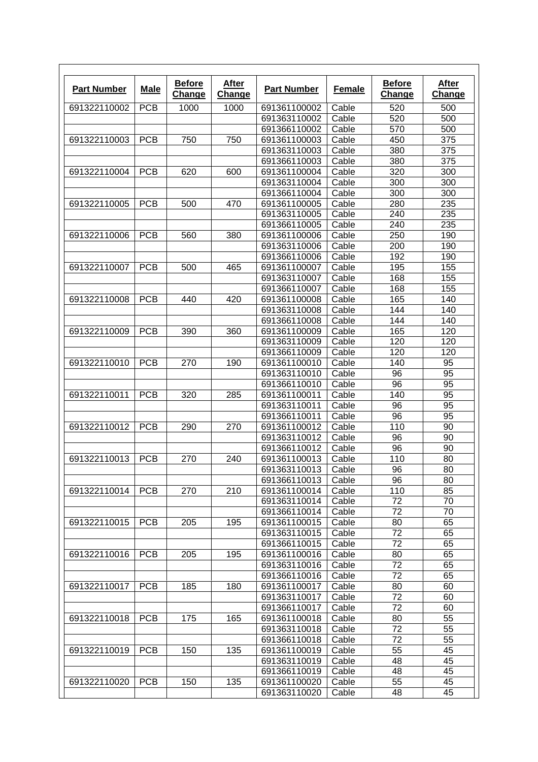| <b>Part Number</b> | <b>Male</b> | <b>Before</b><br><b>Change</b> | <b>After</b><br>Change | <b>Part Number</b> | Female | <b>Before</b><br><b>Change</b> | After<br><b>Change</b> |
|--------------------|-------------|--------------------------------|------------------------|--------------------|--------|--------------------------------|------------------------|
| 691322110002       | <b>PCB</b>  | 1000                           | 1000                   | 691361100002       | Cable  | 520                            | 500                    |
|                    |             |                                |                        | 691363110002       | Cable  | 520                            | 500                    |
|                    |             |                                |                        | 691366110002       | Cable  | 570                            | 500                    |
| 691322110003       | <b>PCB</b>  | 750                            | 750                    | 691361100003       | Cable  | 450                            | 375                    |
|                    |             |                                |                        | 691363110003       | Cable  | 380                            | 375                    |
|                    |             |                                |                        | 691366110003       | Cable  | 380                            | 375                    |
| 691322110004       | <b>PCB</b>  | 620                            | 600                    | 691361100004       | Cable  | 320                            | 300                    |
|                    |             |                                |                        | 691363110004       | Cable  | 300                            | 300                    |
|                    |             |                                |                        | 691366110004       | Cable  | 300                            | 300                    |
| 691322110005       | <b>PCB</b>  | 500                            | 470                    | 691361100005       | Cable  | 280                            | 235                    |
|                    |             |                                |                        | 691363110005       | Cable  | 240                            | 235                    |
|                    |             |                                |                        | 691366110005       | Cable  | 240                            | 235                    |
| 691322110006       | <b>PCB</b>  | 560                            | 380                    | 691361100006       | Cable  | 250                            | 190                    |
|                    |             |                                |                        | 691363110006       | Cable  | 200                            | 190                    |
|                    |             |                                |                        | 691366110006       | Cable  | 192                            | 190                    |
| 691322110007       | <b>PCB</b>  | 500                            | 465                    | 691361100007       | Cable  | 195                            | 155                    |
|                    |             |                                |                        | 691363110007       | Cable  | 168                            | 155                    |
|                    |             |                                |                        | 691366110007       | Cable  | 168                            | 155                    |
| 691322110008       | <b>PCB</b>  | 440                            | 420                    | 691361100008       | Cable  | 165                            | 140                    |
|                    |             |                                |                        | 691363110008       | Cable  | 144                            | 140                    |
|                    |             |                                |                        | 691366110008       | Cable  | 144                            | 140                    |
| 691322110009       | <b>PCB</b>  | 390                            | 360                    | 691361100009       | Cable  | 165                            | 120                    |
|                    |             |                                |                        | 691363110009       | Cable  | 120                            | 120                    |
|                    |             |                                |                        |                    |        | 120                            | 120                    |
|                    |             |                                |                        | 691366110009       | Cable  |                                |                        |
| 691322110010       | <b>PCB</b>  | 270                            | 190                    | 691361100010       | Cable  | 140                            | 95                     |
|                    |             |                                |                        | 691363110010       | Cable  | 96                             | 95                     |
|                    |             |                                |                        | 691366110010       | Cable  | 96                             | 95                     |
| 691322110011       | <b>PCB</b>  | 320                            | 285                    | 691361100011       | Cable  | 140                            | 95                     |
|                    |             |                                |                        | 691363110011       | Cable  | 96                             | 95                     |
|                    |             |                                |                        | 691366110011       | Cable  | 96                             | 95                     |
| 691322110012       | <b>PCB</b>  | 290                            | 270                    | 691361100012       | Cable  | 110                            | 90                     |
|                    |             |                                |                        | 691363110012       | Cable  | 96                             | 90                     |
|                    |             |                                |                        | 691366110012       | Cable  | 96                             | 90                     |
| 691322110013       | <b>PCB</b>  | 270                            | 240                    | 691361100013       | Cable  | 110                            | 80                     |
|                    |             |                                |                        | 691363110013       | Cable  | 96                             | 80                     |
|                    |             |                                |                        | 691366110013       | Cable  | 96                             | 80                     |
| 691322110014       | <b>PCB</b>  | 270                            | 210                    | 691361100014       | Cable  | 110                            | 85                     |
|                    |             |                                |                        | 691363110014       | Cable  | 72                             | 70                     |
|                    |             |                                |                        | 691366110014       | Cable  | 72                             | 70                     |
| 691322110015       | <b>PCB</b>  | 205                            | 195                    | 691361100015       | Cable  | 80                             | 65                     |
|                    |             |                                |                        | 691363110015       | Cable  | 72                             | 65                     |
|                    |             |                                |                        | 691366110015       | Cable  | 72                             | 65                     |
| 691322110016       | <b>PCB</b>  | 205                            | 195                    | 691361100016       | Cable  | 80                             | 65                     |
|                    |             |                                |                        | 691363110016       | Cable  | 72                             | 65                     |
|                    |             |                                |                        | 691366110016       | Cable  | 72                             | 65                     |
| 691322110017       | <b>PCB</b>  | 185                            | 180                    | 691361100017       | Cable  | 80                             | 60                     |
|                    |             |                                |                        | 691363110017       | Cable  | 72                             | 60                     |
|                    |             |                                |                        | 691366110017       | Cable  | 72                             | 60                     |
| 691322110018       | <b>PCB</b>  | 175                            | 165                    | 691361100018       | Cable  | 80                             | 55                     |
|                    |             |                                |                        | 691363110018       | Cable  | 72                             | 55                     |
|                    |             |                                |                        | 691366110018       | Cable  | 72                             | 55                     |
| 691322110019       | <b>PCB</b>  | 150                            | 135                    | 691361100019       | Cable  | 55                             | 45                     |
|                    |             |                                |                        | 691363110019       | Cable  | 48                             | 45                     |
|                    |             |                                |                        | 691366110019       | Cable  | 48                             | 45                     |
| 691322110020       | <b>PCB</b>  | 150                            | 135                    | 691361100020       | Cable  | 55                             | 45                     |
|                    |             |                                |                        |                    |        |                                |                        |
|                    |             |                                |                        | 691363110020       | Cable  | 48                             | 45                     |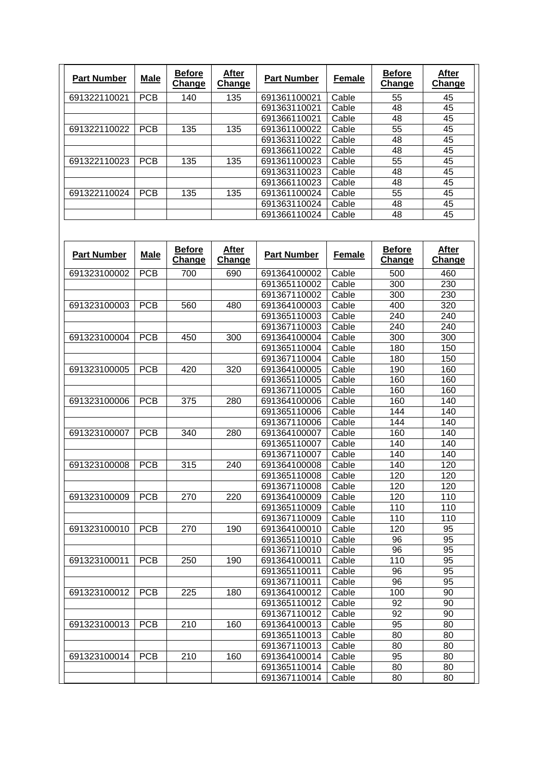| <b>Part Number</b> | <b>Male</b> | <b>Before</b><br>Change | <b>After</b><br>Change | <b>Part Number</b> | <b>Female</b> | <b>Before</b><br>Change | After<br>Change |
|--------------------|-------------|-------------------------|------------------------|--------------------|---------------|-------------------------|-----------------|
| 691322110021       | <b>PCB</b>  | 140                     | 135                    | 691361100021       | Cable         | 55                      | 45              |
|                    |             |                         |                        | 691363110021       | Cable         | 48                      | 45              |
|                    |             |                         |                        | 691366110021       | Cable         | 48                      | 45              |
| 691322110022       | <b>PCB</b>  | 135                     | 135                    | 691361100022       | Cable         | 55                      | 45              |
|                    |             |                         |                        | 691363110022       | Cable         | 48                      | 45              |
|                    |             |                         |                        | 691366110022       | Cable         | 48                      | 45              |
| 691322110023       | <b>PCB</b>  | 135                     | 135                    | 691361100023       | Cable         | 55                      | 45              |
|                    |             |                         |                        | 691363110023       | Cable         | 48                      | 45              |
|                    |             |                         |                        | 691366110023       | Cable         | 48                      | 45              |
| 691322110024       | <b>PCB</b>  | 135                     | 135                    | 691361100024       | Cable         | 55                      | 45              |
|                    |             |                         |                        | 691363110024       | Cable         | 48                      | 45              |
|                    |             |                         |                        | 691366110024       | Cable         | 48                      | 45              |

| <b>Part Number</b> | <b>Male</b> | <b>Before</b><br><b>Change</b> | <b>After</b><br>Change | <b>Part Number</b> | <b>Female</b> | <b>Before</b><br><b>Change</b> | <b>After</b><br>Change |
|--------------------|-------------|--------------------------------|------------------------|--------------------|---------------|--------------------------------|------------------------|
| 691323100002       | <b>PCB</b>  | 700                            | 690                    | 691364100002       | Cable         | 500                            | 460                    |
|                    |             |                                |                        | 691365110002       | Cable         | 300                            | 230                    |
|                    |             |                                |                        | 691367110002       | Cable         | 300                            | 230                    |
| 691323100003       | <b>PCB</b>  | 560                            | 480                    | 691364100003       | Cable         | 400                            | 320                    |
|                    |             |                                |                        | 691365110003       | Cable         | 240                            | 240                    |
|                    |             |                                |                        | 691367110003       | Cable         | 240                            | 240                    |
| 691323100004       | <b>PCB</b>  | 450                            | 300                    | 691364100004       | Cable         | 300                            | 300                    |
|                    |             |                                |                        | 691365110004       | Cable         | 180                            | 150                    |
|                    |             |                                |                        | 691367110004       | Cable         | 180                            | 150                    |
| 691323100005       | <b>PCB</b>  | 420                            | 320                    | 691364100005       | Cable         | 190                            | 160                    |
|                    |             |                                |                        | 691365110005       | Cable         | 160                            | 160                    |
|                    |             |                                |                        | 691367110005       | Cable         | 160                            | 160                    |
| 691323100006       | <b>PCB</b>  | 375                            | 280                    | 691364100006       | Cable         | 160                            | 140                    |
|                    |             |                                |                        | 691365110006       | Cable         | 144                            | 140                    |
|                    |             |                                |                        | 691367110006       | Cable         | 144                            | 140                    |
| 691323100007       | <b>PCB</b>  | 340                            | 280                    | 691364100007       | Cable         | 160                            | 140                    |
|                    |             |                                |                        | 691365110007       | Cable         | 140                            | 140                    |
|                    |             |                                |                        | 691367110007       | Cable         | 140                            | 140                    |
| 691323100008       | <b>PCB</b>  | 315                            | 240                    | 691364100008       | Cable         | 140                            | 120                    |
|                    |             |                                |                        | 691365110008       | Cable         | 120                            | 120                    |
|                    |             |                                |                        | 691367110008       | Cable         | 120                            | 120                    |
| 691323100009       | <b>PCB</b>  | 270                            | 220                    | 691364100009       | Cable         | 120                            | 110                    |
|                    |             |                                |                        | 691365110009       | Cable         | 110                            | 110                    |
|                    |             |                                |                        | 691367110009       | Cable         | 110                            | 110                    |
| 691323100010       | <b>PCB</b>  | 270                            | 190                    | 691364100010       | Cable         | 120                            | 95                     |
|                    |             |                                |                        | 691365110010       | Cable         | 96                             | 95                     |
|                    |             |                                |                        | 691367110010       | Cable         | 96                             | 95                     |
| 691323100011       | <b>PCB</b>  | 250                            | 190                    | 691364100011       | Cable         | 110                            | 95                     |
|                    |             |                                |                        | 691365110011       | Cable         | 96                             | 95                     |
|                    |             |                                |                        | 691367110011       | Cable         | 96                             | 95                     |
| 691323100012       | <b>PCB</b>  | 225                            | 180                    | 691364100012       | Cable         | 100                            | 90                     |
|                    |             |                                |                        | 691365110012       | Cable         | 92                             | $\overline{90}$        |
|                    |             |                                |                        | 691367110012       | Cable         | 92                             | 90                     |
| 691323100013       | <b>PCB</b>  | 210                            | 160                    | 691364100013       | Cable         | 95                             | 80                     |
|                    |             |                                |                        | 691365110013       | Cable         | 80                             | 80                     |
|                    |             |                                |                        | 691367110013       | Cable         | 80                             | 80                     |
| 691323100014       | <b>PCB</b>  | 210                            | 160                    | 691364100014       | Cable         | 95                             | 80                     |
|                    |             |                                |                        | 691365110014       | Cable         | 80                             | 80                     |
|                    |             |                                |                        | 691367110014       | Cable         | 80                             | 80                     |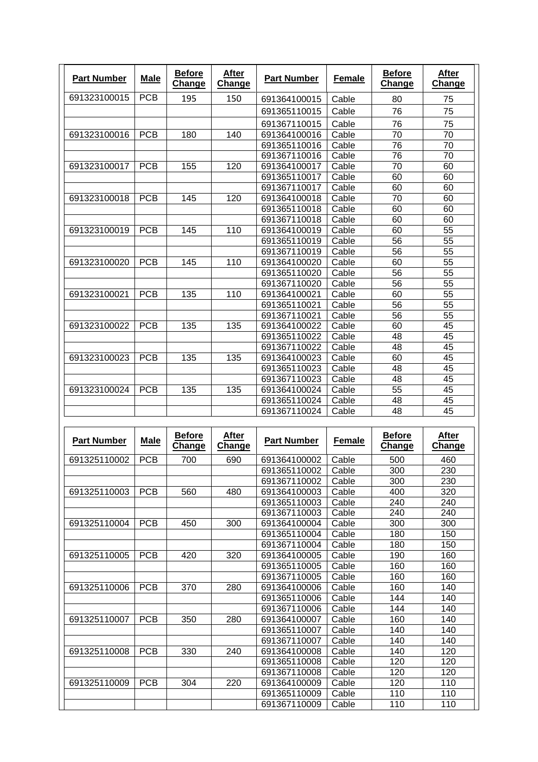| <b>Part Number</b> | <b>Male</b> | <b>Before</b><br>Change | <b>After</b><br>Change | <b>Part Number</b> | <b>Female</b> | <b>Before</b><br>Change | After<br><b>Change</b> |
|--------------------|-------------|-------------------------|------------------------|--------------------|---------------|-------------------------|------------------------|
| 691323100015       | <b>PCB</b>  | 195                     | 150                    | 691364100015       | Cable         | 80                      | 75                     |
|                    |             |                         |                        | 691365110015       | Cable         | 76                      | 75                     |
|                    |             |                         |                        | 691367110015       | Cable         | 76                      | 75                     |
| 691323100016       | <b>PCB</b>  | 180                     | 140                    | 691364100016       | Cable         | 70                      | 70                     |
|                    |             |                         |                        | 691365110016       | Cable         | 76                      | 70                     |
|                    |             |                         |                        | 691367110016       | Cable         | 76                      | 70                     |
| 691323100017       | <b>PCB</b>  | 155                     | 120                    | 691364100017       | Cable         | 70                      | 60                     |
|                    |             |                         |                        | 691365110017       | Cable         | 60                      | 60                     |
|                    |             |                         |                        | 691367110017       | Cable         | 60                      | 60                     |
| 691323100018       | <b>PCB</b>  | 145                     | 120                    | 691364100018       | Cable         | 70                      | 60                     |
|                    |             |                         |                        | 691365110018       | Cable         | 60                      | 60                     |
|                    |             |                         |                        | 691367110018       | Cable         | 60                      | 60                     |
| 691323100019       | <b>PCB</b>  | 145                     | 110                    | 691364100019       | Cable         | 60                      | 55                     |
|                    |             |                         |                        | 691365110019       | Cable         | 56                      | 55                     |
|                    |             |                         |                        | 691367110019       | Cable         | 56                      | 55                     |
| 691323100020       | <b>PCB</b>  | 145                     | 110                    | 691364100020       | Cable         | 60                      | 55                     |
|                    |             |                         |                        | 691365110020       | Cable         | 56                      | 55                     |
|                    |             |                         |                        | 691367110020       | Cable         | 56                      | 55                     |
| 691323100021       | <b>PCB</b>  | 135                     | 110                    | 691364100021       | Cable         | 60                      | $\overline{55}$        |
|                    |             |                         |                        | 691365110021       | Cable         | 56                      | 55                     |
|                    |             |                         |                        | 691367110021       | Cable         | 56                      | 55                     |
| 691323100022       | <b>PCB</b>  | 135                     | 135                    | 691364100022       | Cable         | 60                      | 45                     |
|                    |             |                         |                        | 691365110022       | Cable         | 48                      | 45                     |
|                    |             |                         |                        | 691367110022       | Cable         | 48                      | 45                     |
| 691323100023       | <b>PCB</b>  | 135                     | 135                    | 691364100023       | Cable         | 60                      | 45                     |
|                    |             |                         |                        | 691365110023       | Cable         | 48                      | 45                     |
|                    |             |                         |                        | 691367110023       | Cable         | 48                      | 45                     |
| 691323100024       | <b>PCB</b>  | 135                     | 135                    | 691364100024       | Cable         | 55                      | 45                     |
|                    |             |                         |                        | 691365110024       | Cable         | 48                      | 45                     |
|                    |             |                         |                        | 691367110024       | Cable         | 48                      | 45                     |

| <b>Part Number</b> | <b>Male</b> | <b>Before</b><br><b>Change</b> | After<br><b>Change</b> | <b>Part Number</b> | <b>Female</b> | <b>Before</b><br><b>Change</b> | After<br><b>Change</b> |
|--------------------|-------------|--------------------------------|------------------------|--------------------|---------------|--------------------------------|------------------------|
| 691325110002       | <b>PCB</b>  | 700                            | 690                    | 691364100002       | Cable         | 500                            | 460                    |
|                    |             |                                |                        | 691365110002       | Cable         | 300                            | 230                    |
|                    |             |                                |                        | 691367110002       | Cable         | 300                            | 230                    |
| 691325110003       | <b>PCB</b>  | 560                            | 480                    | 691364100003       | Cable         | 400                            | 320                    |
|                    |             |                                |                        | 691365110003       | Cable         | 240                            | 240                    |
|                    |             |                                |                        | 691367110003       | Cable         | 240                            | 240                    |
| 691325110004       | <b>PCB</b>  | 450                            | 300                    | 691364100004       | Cable         | 300                            | 300                    |
|                    |             |                                |                        | 691365110004       | Cable         | 180                            | 150                    |
|                    |             |                                |                        | 691367110004       | Cable         | 180                            | 150                    |
| 691325110005       | <b>PCB</b>  | 420                            | 320                    | 691364100005       | Cable         | 190                            | 160                    |
|                    |             |                                |                        | 691365110005       | Cable         | 160                            | 160                    |
|                    |             |                                |                        | 691367110005       | Cable         | 160                            | 160                    |
| 691325110006       | <b>PCB</b>  | 370                            | 280                    | 691364100006       | Cable         | 160                            | 140                    |
|                    |             |                                |                        | 691365110006       | Cable         | 144                            | 140                    |
|                    |             |                                |                        | 691367110006       | Cable         | 144                            | 140                    |
| 691325110007       | <b>PCB</b>  | 350                            | 280                    | 691364100007       | Cable         | 160                            | 140                    |
|                    |             |                                |                        | 691365110007       | Cable         | 140                            | 140                    |
|                    |             |                                |                        | 691367110007       | Cable         | 140                            | 140                    |
| 691325110008       | <b>PCB</b>  | 330                            | 240                    | 691364100008       | Cable         | 140                            | 120                    |
|                    |             |                                |                        | 691365110008       | Cable         | 120                            | 120                    |
|                    |             |                                |                        | 691367110008       | Cable         | 120                            | 120                    |
| 691325110009       | <b>PCB</b>  | 304                            | 220                    | 691364100009       | Cable         | 120                            | 110                    |
|                    |             |                                |                        | 691365110009       | Cable         | 110                            | 110                    |
|                    |             |                                |                        | 691367110009       | Cable         | 110                            | 110                    |